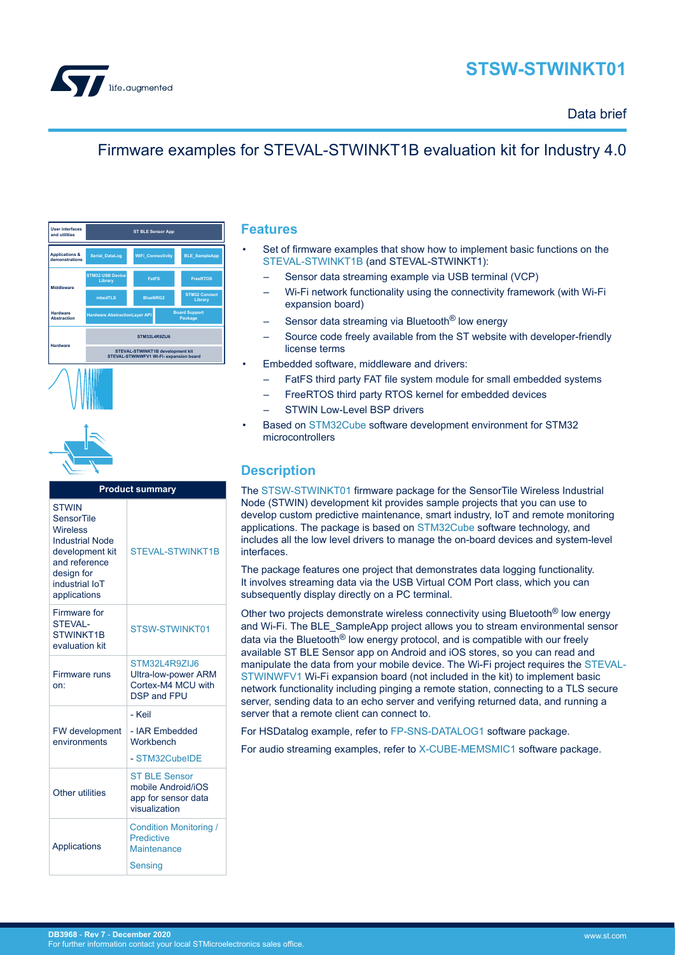

# **STSW-STWINKT01**

### Data brief

## Firmware examples for STEVAL-STWINKT1B evaluation kit for Industry 4.0

| <b>User interfaces</b><br>and utilities     | <b>ST BLE Sensor App</b>                                                    |                          |                                 |                                 |  |
|---------------------------------------------|-----------------------------------------------------------------------------|--------------------------|---------------------------------|---------------------------------|--|
| <b>Applications &amp;</b><br>demonstrations | <b>Serial DataLog</b>                                                       | <b>WiFi Connectivity</b> | <b>BLE SampleApp</b>            |                                 |  |
| Middleware                                  | <b>STM32 USB Device</b><br>Library                                          | <b>FatES</b>             |                                 | <b>FreeRTOS</b>                 |  |
|                                             | mbedTLS                                                                     | <b>BlueNRG2</b>          |                                 | <b>STM32 Connect</b><br>Library |  |
| Hardware<br><b>Abstraction</b>              | <b>Hardware AbstractionLayer API</b>                                        |                          | <b>Board Support</b><br>Package |                                 |  |
| Hardware                                    | <b>STM32L4R9ZLI6</b>                                                        |                          |                                 |                                 |  |
|                                             | STEVAL-STWINKT1B development kit<br>STEVAL-STWINWFV1 Wi-Fi- expansion board |                          |                                 |                                 |  |





| <b>Product summary</b>                                                                                                                               |                                                                                         |  |  |
|------------------------------------------------------------------------------------------------------------------------------------------------------|-----------------------------------------------------------------------------------------|--|--|
| <b>STWIN</b><br>SensorTile<br>Wireless<br><b>Industrial Node</b><br>development kit<br>and reference<br>design for<br>industrial IoT<br>applications | <b>STEVAL-STWINKT1B</b>                                                                 |  |  |
| Firmware for<br><b>STEVAL-</b><br>STWINKT1B<br>evaluation kit                                                                                        | STSW-STWINKT01                                                                          |  |  |
| Firmware runs<br>on:                                                                                                                                 | STM32L4R9ZIJ6<br><b>Ultra-low-power ARM</b><br>Cortex-M4 MCU with<br><b>DSP and FPU</b> |  |  |
|                                                                                                                                                      | - Keil                                                                                  |  |  |
| FW development<br>environments                                                                                                                       | - IAR Embedded<br>Workhench                                                             |  |  |
|                                                                                                                                                      | - STM32CubeIDE                                                                          |  |  |
| Other utilities                                                                                                                                      | <b>ST BLE Sensor</b><br>mobile Android/iOS<br>app for sensor data<br>visualization      |  |  |
| Applications                                                                                                                                         | <b>Condition Monitoring /</b><br><b>Predictive</b><br>Maintenance<br>Sensing            |  |  |

### **Features**

- Set of firmware examples that show how to implement basic functions on the [STEVAL-STWINKT1B](https://www.st.com/en/product/steval-stwinkt1b?ecmp=tt9470_gl_link_feb2019&rt=db&id=DB3968) (and STEVAL-STWINKT1):
	- Sensor data streaming example via USB terminal (VCP)
	- Wi-Fi network functionality using the connectivity framework (with Wi-Fi expansion board)
	- Sensor data streaming via Bluetooth<sup>®</sup> low energy
	- Source code freely available from the ST website with developer-friendly license terms
- Embedded software, middleware and drivers:
	- FatFS third party FAT file system module for small embedded systems
		- FreeRTOS third party RTOS kernel for embedded devices
	- STWIN Low-Level BSP drivers
- Based on [STM32Cube](https://www.st.com/stm32cube) software development environment for STM32 microcontrollers

### **Description**

The [STSW-STWINKT01](https://www.st.com/en/product/stsw-stwinkt01?ecmp=tt9470_gl_link_feb2019&rt=db&id=DB3968) firmware package for the SensorTile Wireless Industrial Node (STWIN) development kit provides sample projects that you can use to develop custom predictive maintenance, smart industry, IoT and remote monitoring applications. The package is based on [STM32Cube](https://www.st.com/stm32cube) software technology, and includes all the low level drivers to manage the on-board devices and system-level interfaces.

The package features one project that demonstrates data logging functionality. It involves streaming data via the USB Virtual COM Port class, which you can subsequently display directly on a PC terminal.

Other two projects demonstrate wireless connectivity using Bluetooth® low energy and Wi-Fi. The BLE\_SampleApp project allows you to stream environmental sensor data via the Bluetooth® low energy protocol, and is compatible with our freely available ST BLE Sensor app on Android and iOS stores, so you can read and manipulate the data from your mobile device. The Wi-Fi project requires the [STEVAL-](https://www.st.com/en/product/steval-stwinwfv1?ecmp=tt9470_gl_link_feb2019&rt=db&id=DB3968)[STWINWFV1](https://www.st.com/en/product/steval-stwinwfv1?ecmp=tt9470_gl_link_feb2019&rt=db&id=DB3968) Wi-Fi expansion board (not included in the kit) to implement basic network functionality including pinging a remote station, connecting to a TLS secure server, sending data to an echo server and verifying returned data, and running a server that a remote client can connect to.

For HSDatalog example, refer to [FP-SNS-DATALOG1](https://www.st.com/en/product/fp-sns-datalog1?ecmp=tt9470_gl_link_feb2019&rt=db&id=DB3968) software package.

For audio streaming examples, refer to [X-CUBE-MEMSMIC1](https://www.st.com/en/product/x-cube-memsmic1?ecmp=tt9470_gl_link_feb2019&rt=db&id=DB3968) software package.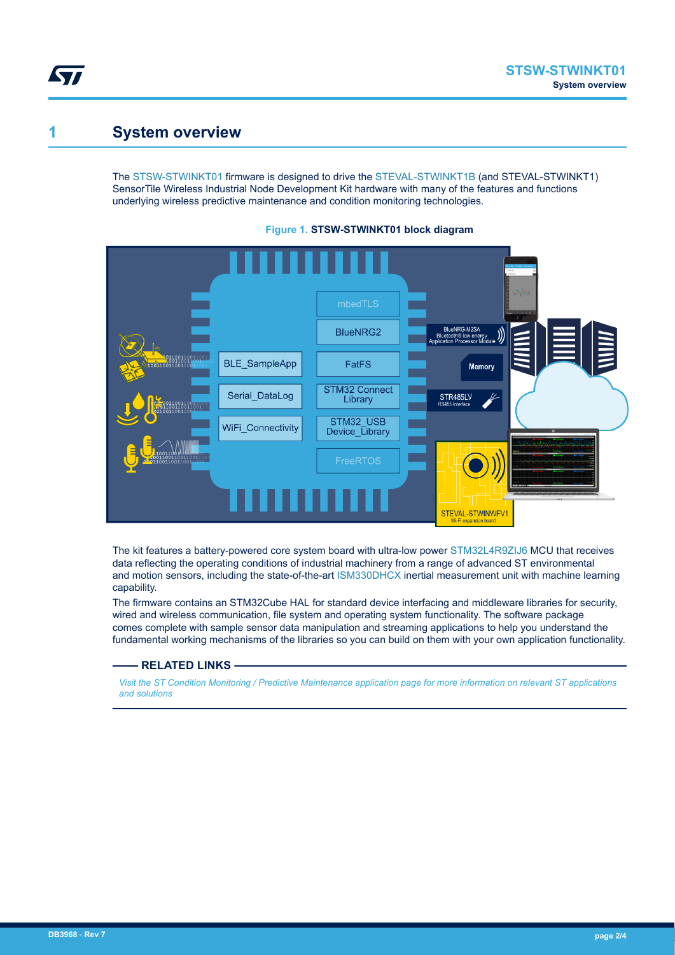## **1 System overview**

W

The [STSW-STWINKT01](https://www.st.com/en/product/stsw-stwinkt01?ecmp=tt9470_gl_link_feb2019&rt=db&id=DB3968) firmware is designed to drive the [STEVAL-STWINKT1B](https://www.st.com/en/product/steval-stwinkt1b?ecmp=tt9470_gl_link_feb2019&rt=db&id=DB3968) (and STEVAL-STWINKT1) SensorTile Wireless Industrial Node Development Kit hardware with many of the features and functions underlying wireless predictive maintenance and condition monitoring technologies.





The kit features a battery-powered core system board with ultra-low power [STM32L4R9ZIJ6](https://www.st.com/en/product/STM32L4R9ZI?ecmp=tt9470_gl_link_feb2019&rt=db&id=DB3968) MCU that receives data reflecting the operating conditions of industrial machinery from a range of advanced ST environmental and motion sensors, including the state-of-the-art [ISM330DHCX](https://www.st.com/en/product/ism330dhcx?ecmp=tt9470_gl_link_feb2019&rt=db&id=DB3968) inertial measurement unit with machine learning capability.

The firmware contains an STM32Cube HAL for standard device interfacing and middleware libraries for security, wired and wireless communication, file system and operating system functionality. The software package comes complete with sample sensor data manipulation and streaming applications to help you understand the fundamental working mechanisms of the libraries so you can build on them with your own application functionality.

#### **RELATED LINKS**

*[Visit the ST Condition Monitoring / Predictive Maintenance application page for more information on relevant ST applications](https://www.st.com/en/applications/factory-automation/condition-monitoring-predictive-maintenance.html) [and solutions](https://www.st.com/en/applications/factory-automation/condition-monitoring-predictive-maintenance.html)*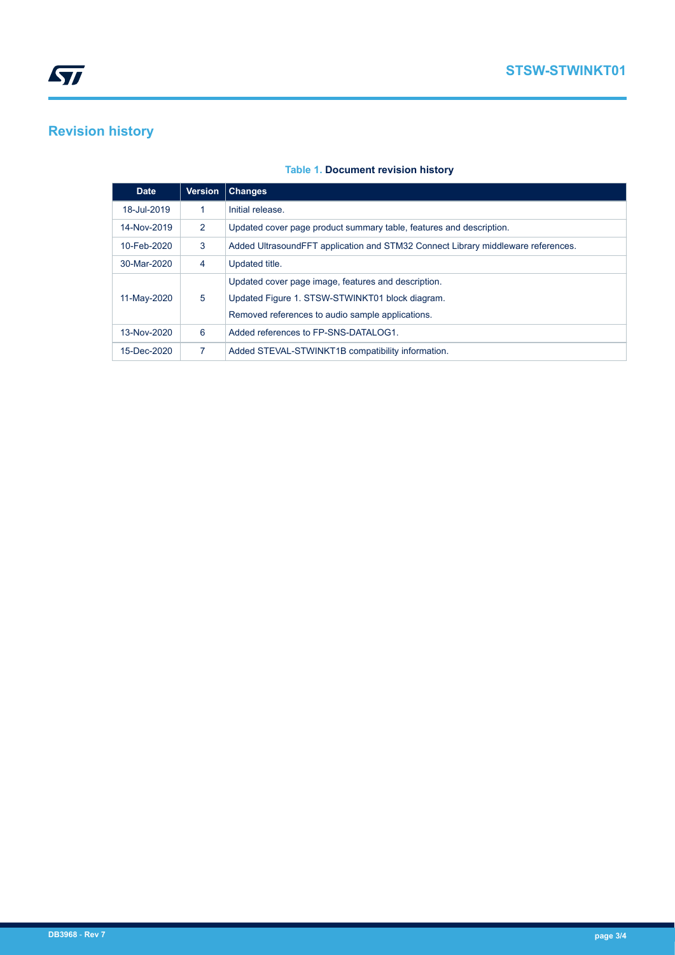# **Revision history**

### **Table 1. Document revision history**

| <b>Date</b> | <b>Version</b> | <b>Changes</b>                                                                   |  |
|-------------|----------------|----------------------------------------------------------------------------------|--|
| 18-Jul-2019 | 1              | Initial release.                                                                 |  |
| 14-Nov-2019 | 2              | Updated cover page product summary table, features and description.              |  |
| 10-Feb-2020 | 3              | Added UltrasoundFFT application and STM32 Connect Library middleware references. |  |
| 30-Mar-2020 | 4              | Updated title.                                                                   |  |
|             |                | Updated cover page image, features and description.                              |  |
| 11-May-2020 | 5              | Updated Figure 1. STSW-STWINKT01 block diagram.                                  |  |
|             |                | Removed references to audio sample applications.                                 |  |
| 13-Nov-2020 | 6              | Added references to FP-SNS-DATALOG1.                                             |  |
| 15-Dec-2020 | 7              | Added STEVAL-STWINKT1B compatibility information.                                |  |